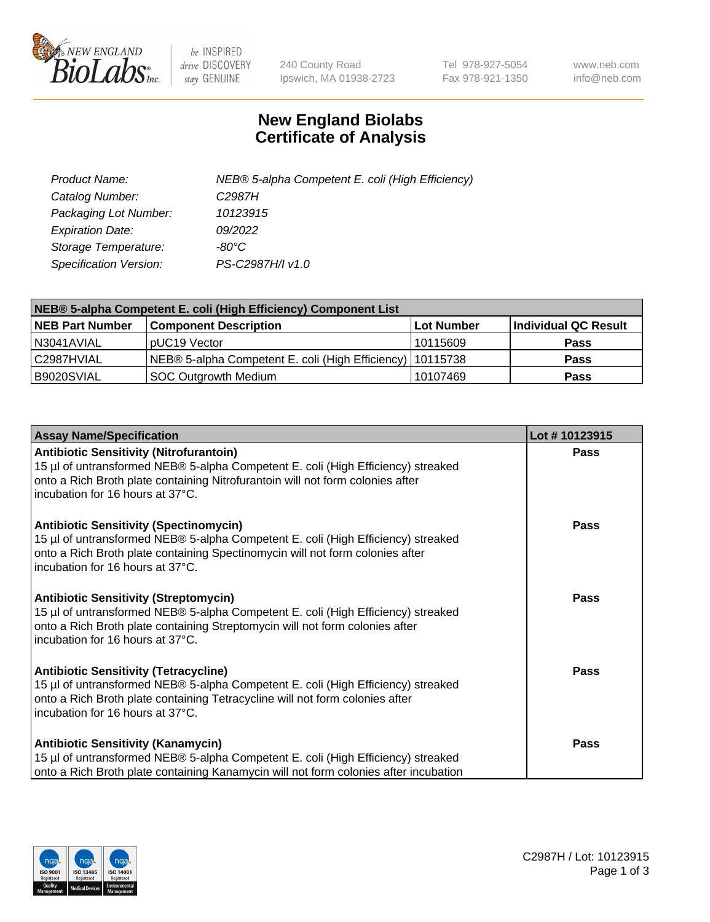

 $be$  INSPIRED drive DISCOVERY stay GENUINE

240 County Road Ipswich, MA 01938-2723 Tel 978-927-5054 Fax 978-921-1350 www.neb.com info@neb.com

## **New England Biolabs Certificate of Analysis**

| Product Name:           | NEB® 5-alpha Competent E. coli (High Efficiency) |
|-------------------------|--------------------------------------------------|
| Catalog Number:         | C <sub>2987</sub> H                              |
| Packaging Lot Number:   | 10123915                                         |
| <b>Expiration Date:</b> | 09/2022                                          |
| Storage Temperature:    | -80°C.                                           |
| Specification Version:  | PS-C2987H/I v1.0                                 |

| NEB® 5-alpha Competent E. coli (High Efficiency) Component List |                                                             |                   |                      |  |
|-----------------------------------------------------------------|-------------------------------------------------------------|-------------------|----------------------|--|
| <b>NEB Part Number</b>                                          | <b>Component Description</b>                                | <b>Lot Number</b> | Individual QC Result |  |
| N3041AVIAL                                                      | pUC19 Vector                                                | 10115609          | <b>Pass</b>          |  |
| C2987HVIAL                                                      | NEB® 5-alpha Competent E. coli (High Efficiency)   10115738 |                   | <b>Pass</b>          |  |
| B9020SVIAL                                                      | SOC Outgrowth Medium                                        | 10107469          | <b>Pass</b>          |  |

| <b>Assay Name/Specification</b>                                                                                                                                                                                                                          | Lot #10123915 |
|----------------------------------------------------------------------------------------------------------------------------------------------------------------------------------------------------------------------------------------------------------|---------------|
| <b>Antibiotic Sensitivity (Nitrofurantoin)</b><br>15 µl of untransformed NEB® 5-alpha Competent E. coli (High Efficiency) streaked<br>onto a Rich Broth plate containing Nitrofurantoin will not form colonies after<br>incubation for 16 hours at 37°C. | <b>Pass</b>   |
| <b>Antibiotic Sensitivity (Spectinomycin)</b><br>15 µl of untransformed NEB® 5-alpha Competent E. coli (High Efficiency) streaked<br>onto a Rich Broth plate containing Spectinomycin will not form colonies after<br>incubation for 16 hours at 37°C.   | Pass          |
| <b>Antibiotic Sensitivity (Streptomycin)</b><br>15 µl of untransformed NEB® 5-alpha Competent E. coli (High Efficiency) streaked<br>onto a Rich Broth plate containing Streptomycin will not form colonies after<br>incubation for 16 hours at 37°C.     | Pass          |
| <b>Antibiotic Sensitivity (Tetracycline)</b><br>15 µl of untransformed NEB® 5-alpha Competent E. coli (High Efficiency) streaked<br>onto a Rich Broth plate containing Tetracycline will not form colonies after<br>incubation for 16 hours at 37°C.     | <b>Pass</b>   |
| <b>Antibiotic Sensitivity (Kanamycin)</b><br>15 µl of untransformed NEB® 5-alpha Competent E. coli (High Efficiency) streaked<br>onto a Rich Broth plate containing Kanamycin will not form colonies after incubation                                    | <b>Pass</b>   |

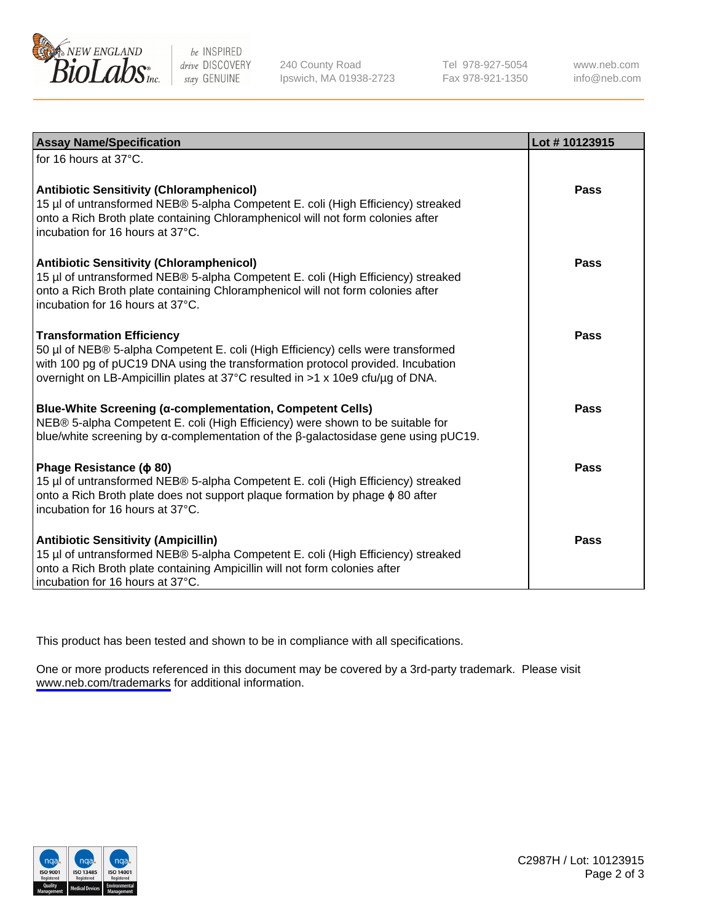

be INSPIRED drive DISCOVERY stay GENUINE

240 County Road Ipswich, MA 01938-2723 Tel 978-927-5054 Fax 978-921-1350

www.neb.com info@neb.com

| <b>Assay Name/Specification</b>                                                                                                                                                                                                                                                           | Lot #10123915 |
|-------------------------------------------------------------------------------------------------------------------------------------------------------------------------------------------------------------------------------------------------------------------------------------------|---------------|
| for 16 hours at 37°C.                                                                                                                                                                                                                                                                     |               |
| <b>Antibiotic Sensitivity (Chloramphenicol)</b><br>15 µl of untransformed NEB® 5-alpha Competent E. coli (High Efficiency) streaked<br>onto a Rich Broth plate containing Chloramphenicol will not form colonies after<br>incubation for 16 hours at 37°C.                                | <b>Pass</b>   |
| <b>Antibiotic Sensitivity (Chloramphenicol)</b><br>15 µl of untransformed NEB® 5-alpha Competent E. coli (High Efficiency) streaked<br>onto a Rich Broth plate containing Chloramphenicol will not form colonies after<br>incubation for 16 hours at 37°C.                                | Pass          |
| <b>Transformation Efficiency</b><br>50 µl of NEB® 5-alpha Competent E. coli (High Efficiency) cells were transformed<br>with 100 pg of pUC19 DNA using the transformation protocol provided. Incubation<br>overnight on LB-Ampicillin plates at 37°C resulted in >1 x 10e9 cfu/ug of DNA. | Pass          |
| <b>Blue-White Screening (α-complementation, Competent Cells)</b><br>NEB® 5-alpha Competent E. coli (High Efficiency) were shown to be suitable for<br>blue/white screening by $\alpha$ -complementation of the $\beta$ -galactosidase gene using pUC19.                                   | Pass          |
| Phage Resistance ( $\phi$ 80)<br>15 µl of untransformed NEB® 5-alpha Competent E. coli (High Efficiency) streaked<br>onto a Rich Broth plate does not support plaque formation by phage $\phi$ 80 after<br>incubation for 16 hours at 37°C.                                               | Pass          |
| Antibiotic Sensitivity (Ampicillin)<br>15 µl of untransformed NEB® 5-alpha Competent E. coli (High Efficiency) streaked<br>onto a Rich Broth plate containing Ampicillin will not form colonies after<br>incubation for 16 hours at 37°C.                                                 | <b>Pass</b>   |

This product has been tested and shown to be in compliance with all specifications.

One or more products referenced in this document may be covered by a 3rd-party trademark. Please visit <www.neb.com/trademarks>for additional information.